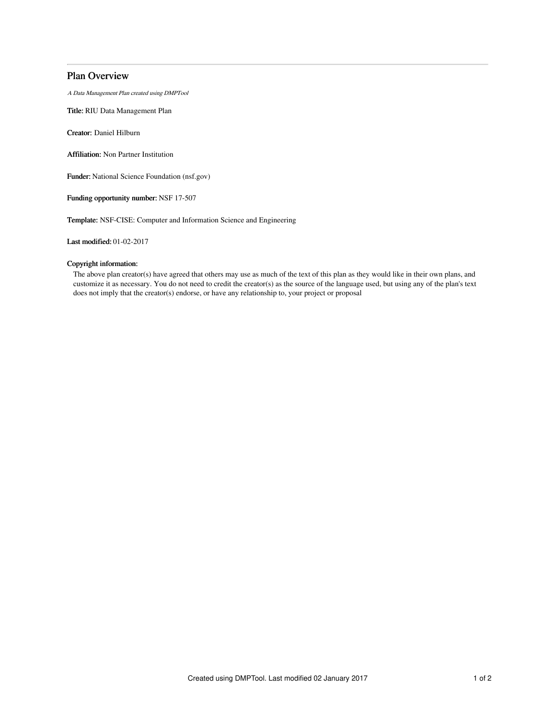# Plan Overview

A Data Management Plan created using DMPTool

Title: RIU Data Management Plan

Creator: Daniel Hilburn

Affiliation: Non Partner Institution

Funder: National Science Foundation (nsf.gov)

Funding opportunity number: NSF 17-507

Template: NSF-CISE: Computer and Information Science and Engineering

Last modified: 01-02-2017

## Copyright information:

The above plan creator(s) have agreed that others may use as much of the text of this plan as they would like in their own plans, and customize it as necessary. You do not need to credit the creator(s) as the source of the language used, but using any of the plan's text does not imply that the creator(s) endorse, or have any relationship to, your project or proposal